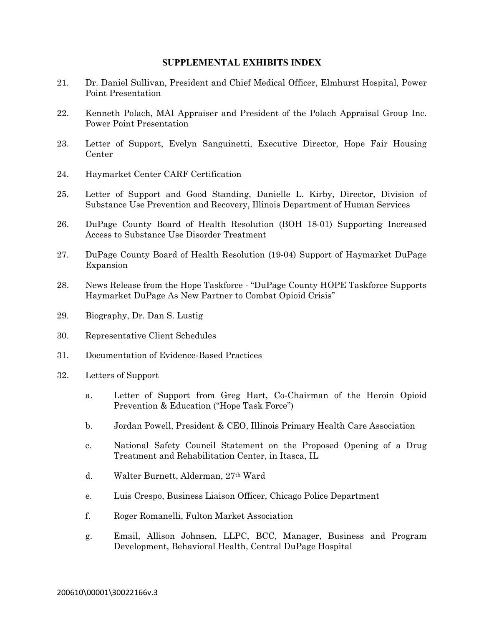## **SUPPLEMENTAL EXHIBITS INDEX**

- 21. Dr. Daniel Sullivan, President and Chief Medical Officer, Elmhurst Hospital, Power Point Presentation
- 22. Kenneth Polach, MAI Appraiser and President of the Polach Appraisal Group Inc. Power Point Presentation
- 23. Letter of Support, Evelyn Sanguinetti, Executive Director, Hope Fair Housing Center
- 24. Haymarket Center CARF Certification
- 25. Letter of Support and Good Standing, Danielle L. Kirby, Director, Division of Substance Use Prevention and Recovery, Illinois Department of Human Services
- 26. DuPage County Board of Health Resolution (BOH 18-01) Supporting Increased Access to Substance Use Disorder Treatment
- 27. DuPage County Board of Health Resolution (19-04) Support of Haymarket DuPage Expansion
- 28. News Release from the Hope Taskforce "DuPage County HOPE Taskforce Supports Haymarket DuPage As New Partner to Combat Opioid Crisis"
- 29. Biography, Dr. Dan S. Lustig
- 30. Representative Client Schedules
- 31. Documentation of Evidence-Based Practices
- 32. Letters of Support
	- a. Letter of Support from Greg Hart, Co-Chairman of the Heroin Opioid Prevention & Education ("Hope Task Force")
	- b. Jordan Powell, President & CEO, Illinois Primary Health Care Association
	- c. National Safety Council Statement on the Proposed Opening of a Drug Treatment and Rehabilitation Center, in Itasca, IL
	- d. Walter Burnett, Alderman, 27th Ward
	- e. Luis Crespo, Business Liaison Officer, Chicago Police Department
	- f. Roger Romanelli, Fulton Market Association
	- g. Email, Allison Johnsen, LLPC, BCC, Manager, Business and Program Development, Behavioral Health, Central DuPage Hospital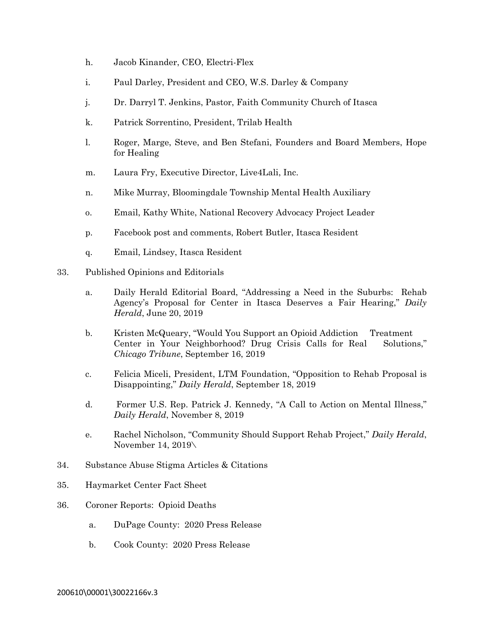- h. Jacob Kinander, CEO, Electri-Flex
- i. Paul Darley, President and CEO, W.S. Darley & Company
- j. Dr. Darryl T. Jenkins, Pastor, Faith Community Church of Itasca
- k. Patrick Sorrentino, President, Trilab Health
- l. Roger, Marge, Steve, and Ben Stefani, Founders and Board Members, Hope for Healing
- m. Laura Fry, Executive Director, Live4Lali, Inc.
- n. Mike Murray, Bloomingdale Township Mental Health Auxiliary
- o. Email, Kathy White, National Recovery Advocacy Project Leader
- p. Facebook post and comments, Robert Butler, Itasca Resident
- q. Email, Lindsey, Itasca Resident
- 33. Published Opinions and Editorials
	- a. Daily Herald Editorial Board, "Addressing a Need in the Suburbs: Rehab Agency's Proposal for Center in Itasca Deserves a Fair Hearing," *Daily Herald*, June 20, 2019
	- b. Kristen McQueary, "Would You Support an Opioid Addiction Treatment Center in Your Neighborhood? Drug Crisis Calls for Real Solutions," *Chicago Tribune*, September 16, 2019
	- c. Felicia Miceli, President, LTM Foundation, "Opposition to Rehab Proposal is Disappointing," *Daily Herald*, September 18, 2019
	- d. Former U.S. Rep. Patrick J. Kennedy, "A Call to Action on Mental Illness," *Daily Herald*, November 8, 2019
	- e. Rachel Nicholson, "Community Should Support Rehab Project," *Daily Herald*, November 14, 2019\
- 34. Substance Abuse Stigma Articles & Citations
- 35. Haymarket Center Fact Sheet
- 36. Coroner Reports: Opioid Deaths
	- a. DuPage County: 2020 Press Release
	- b. Cook County: 2020 Press Release